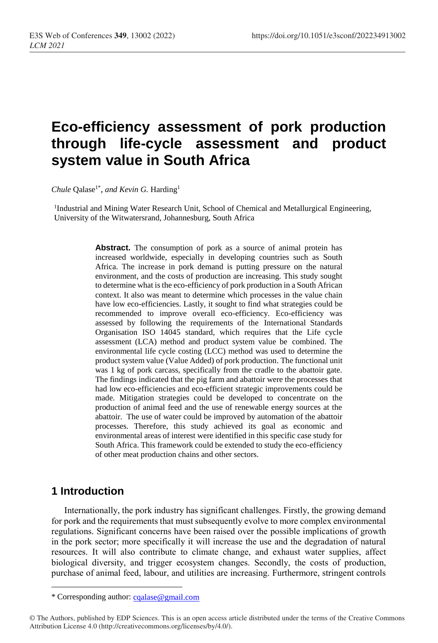# **Eco-efficiency assessment of pork production through life-cycle assessment and product system value in South Africa**

*Chule Qalase<sup>1\*</sup>, and Kevin G. Harding<sup>1</sup>* 

<sup>1</sup>Industrial and Mining Water Research Unit, School of Chemical and Metallurgical Engineering, University of the Witwatersrand, Johannesburg, South Africa

> **Abstract.** The consumption of pork as a source of animal protein has increased worldwide, especially in developing countries such as South Africa. The increase in pork demand is putting pressure on the natural environment, and the costs of production are increasing. This study sought to determine what is the eco-efficiency of pork production in a South African context. It also was meant to determine which processes in the value chain have low eco-efficiencies. Lastly, it sought to find what strategies could be recommended to improve overall eco-efficiency. Eco-efficiency was assessed by following the requirements of the International Standards Organisation ISO 14045 standard, which requires that the Life cycle assessment (LCA) method and product system value be combined. The environmental life cycle costing (LCC) method was used to determine the product system value (Value Added) of pork production. The functional unit was 1 kg of pork carcass, specifically from the cradle to the abattoir gate. The findings indicated that the pig farm and abattoir were the processes that had low eco-efficiencies and eco-efficient strategic improvements could be made. Mitigation strategies could be developed to concentrate on the production of animal feed and the use of renewable energy sources at the abattoir. The use of water could be improved by automation of the abattoir processes. Therefore, this study achieved its goal as economic and environmental areas of interest were identified in this specific case study for South Africa. This framework could be extended to study the eco-efficiency of other meat production chains and other sectors.

### **1 Introduction**

 $\overline{a}$ 

Internationally, the pork industry has significant challenges. Firstly, the growing demand for pork and the requirements that must subsequently evolve to more complex environmental regulations. Significant concerns have been raised over the possible implications of growth in the pork sector; more specifically it will increase the use and the degradation of natural resources. It will also contribute to climate change, and exhaust water supplies, affect biological diversity, and trigger ecosystem changes. Secondly, the costs of production, purchase of animal feed, labour, and utilities are increasing. Furthermore, stringent controls

<sup>\*</sup> Corresponding author: [cqalase@gmail.com](mailto:cqalase@gmail.com)

<sup>©</sup> The Authors, published by EDP Sciences. This is an open access article distributed under the terms of the Creative Commons Attribution License 4.0 (http://creativecommons.org/licenses/by/4.0/).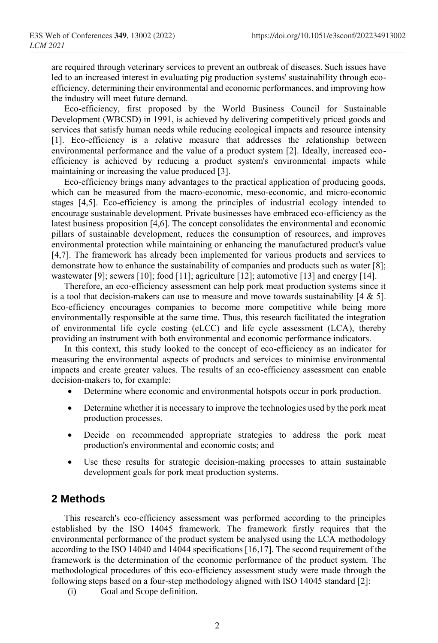are required through veterinary services to prevent an outbreak of diseases. Such issues have led to an increased interest in evaluating pig production systems' sustainability through ecoefficiency, determining their environmental and economic performances, and improving how the industry will meet future demand.

Eco-efficiency, first proposed by the World Business Council for Sustainable Development (WBCSD) in 1991, is achieved by delivering competitively priced goods and services that satisfy human needs while reducing ecological impacts and resource intensity [1]. Eco-efficiency is a relative measure that addresses the relationship between environmental performance and the value of a product system [2]. Ideally, increased ecoefficiency is achieved by reducing a product system's environmental impacts while maintaining or increasing the value produced [3].

Eco-efficiency brings many advantages to the practical application of producing goods, which can be measured from the macro-economic, meso-economic, and micro-economic stages [4,5]. Eco-efficiency is among the principles of industrial ecology intended to encourage sustainable development. Private businesses have embraced eco-efficiency as the latest business proposition [4,6]. The concept consolidates the environmental and economic pillars of sustainable development, reduces the consumption of resources, and improves environmental protection while maintaining or enhancing the manufactured product's value [4,7]. The framework has already been implemented for various products and services to demonstrate how to enhance the sustainability of companies and products such as water [8]; wastewater [9]; sewers [10]; food [11]; agriculture [12]; automotive [13] and energy [14].

Therefore, an eco-efficiency assessment can help pork meat production systems since it is a tool that decision-makers can use to measure and move towards sustainability  $[4 \& 5]$ . Eco-efficiency encourages companies to become more competitive while being more environmentally responsible at the same time. Thus, this research facilitated the integration of environmental life cycle costing (eLCC) and life cycle assessment (LCA), thereby providing an instrument with both environmental and economic performance indicators.

In this context, this study looked to the concept of eco-efficiency as an indicator for measuring the environmental aspects of products and services to minimise environmental impacts and create greater values. The results of an eco-efficiency assessment can enable decision-makers to, for example:

- Determine where economic and environmental hotspots occur in pork production.
- Determine whether it is necessary to improve the technologies used by the pork meat production processes.
- Decide on recommended appropriate strategies to address the pork meat production's environmental and economic costs; and
- Use these results for strategic decision-making processes to attain sustainable development goals for pork meat production systems.

### **2 Methods**

This research's eco‐efficiency assessment was performed according to the principles established by the ISO 14045 framework. The framework firstly requires that the environmental performance of the product system be analysed using the LCA methodology according to the ISO 14040 and 14044 specifications [16,17]. The second requirement of the framework is the determination of the economic performance of the product system. The methodological procedures of this eco-efficiency assessment study were made through the following steps based on a four-step methodology aligned with ISO 14045 standard [2]:

(i) Goal and Scope definition.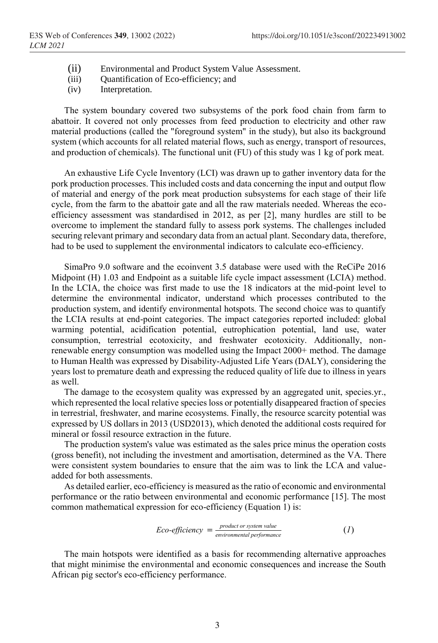- (ii) Environmental and Product System Value Assessment.
- (iii) Quantification of Eco-efficiency; and
- (iv) Interpretation.

The system boundary covered two subsystems of the pork food chain from farm to abattoir. It covered not only processes from feed production to electricity and other raw material productions (called the "foreground system" in the study), but also its background system (which accounts for all related material flows, such as energy, transport of resources, and production of chemicals). The functional unit (FU) of this study was 1 kg of pork meat.

An exhaustive Life Cycle Inventory (LCI) was drawn up to gather inventory data for the pork production processes. This included costs and data concerning the input and output flow of material and energy of the pork meat production subsystems for each stage of their life cycle, from the farm to the abattoir gate and all the raw materials needed. Whereas the ecoefficiency assessment was standardised in 2012, as per [2], many hurdles are still to be overcome to implement the standard fully to assess pork systems. The challenges included securing relevant primary and secondary data from an actual plant. Secondary data, therefore, had to be used to supplement the environmental indicators to calculate eco-efficiency.

SimaPro 9.0 software and the ecoinvent 3.5 database were used with the ReCiPe 2016 Midpoint (H) 1.03 and Endpoint as a suitable life cycle impact assessment (LCIA) method. In the LCIA, the choice was first made to use the 18 indicators at the mid-point level to determine the environmental indicator, understand which processes contributed to the production system, and identify environmental hotspots. The second choice was to quantify the LCIA results at end-point categories. The impact categories reported included: global warming potential, acidification potential, eutrophication potential, land use, water consumption, terrestrial ecotoxicity, and freshwater ecotoxicity. Additionally, nonrenewable energy consumption was modelled using the Impact 2000+ method. The damage to Human Health was expressed by Disability-Adjusted Life Years (DALY), considering the years lost to premature death and expressing the reduced quality of life due to illness in years as well.

The damage to the ecosystem quality was expressed by an aggregated unit, species.yr., which represented the local relative species loss or potentially disappeared fraction of species in terrestrial, freshwater, and marine ecosystems. Finally, the resource scarcity potential was expressed by US dollars in 2013 (USD2013), which denoted the additional costs required for mineral or fossil resource extraction in the future.

The production system's value was estimated as the sales price minus the operation costs (gross benefit), not including the investment and amortisation, determined as the VA. There were consistent system boundaries to ensure that the aim was to link the LCA and valueadded for both assessments.

As detailed earlier, eco-efficiency is measured as the ratio of economic and environmental performance or the ratio between environmental and economic performance [15]. The most common mathematical expression for eco-efficiency (Equation 1) is:

$$
Eco\text{-efficiency} = \frac{product\ or\ system\ value}{environmental\ performance} \tag{1}
$$

The main hotspots were identified as a basis for recommending alternative approaches that might minimise the environmental and economic consequences and increase the South African pig sector's eco-efficiency performance.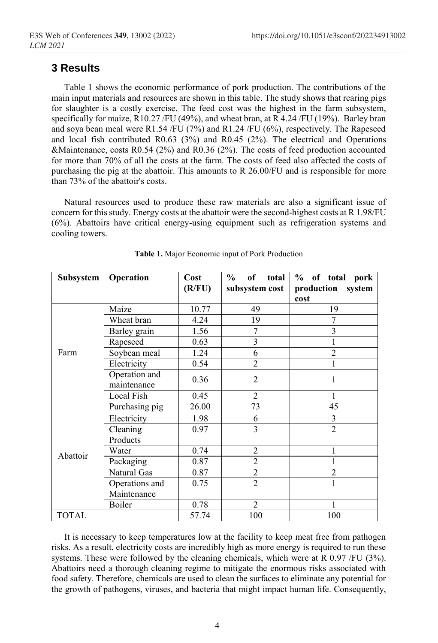#### **3 Results**

[Table 1](#page-3-0) shows the economic performance of pork production. The contributions of the main input materials and resources are shown in this table. The study shows that rearing pigs for slaughter is a costly exercise. The feed cost was the highest in the farm subsystem, specifically for maize, R10.27 /FU (49%), and wheat bran, at R 4.24 /FU (19%). Barley bran and soya bean meal were R1.54 /FU (7%) and R1.24 /FU (6%), respectively. The Rapeseed and local fish contributed R0.63 (3%) and R0.45 (2%). The electrical and Operations &Maintenance, costs R0.54 (2%) and R0.36 (2%). The costs of feed production accounted for more than 70% of all the costs at the farm. The costs of feed also affected the costs of purchasing the pig at the abattoir. This amounts to R 26.00/FU and is responsible for more than 73% of the abattoir's costs.

Natural resources used to produce these raw materials are also a significant issue of concern for this study. Energy costs at the abattoir were the second-highest costs at R 1.98/FU (6%). Abattoirs have critical energy-using equipment such as refrigeration systems and cooling towers.

<span id="page-3-0"></span>

| Subsystem    | Operation      | Cost   | $\%$<br>of<br>total | % of total pork              |
|--------------|----------------|--------|---------------------|------------------------------|
|              |                | (R/FU) | subsystem cost      | system<br>production<br>cost |
| Farm         | Maize          | 10.77  | 49                  | 19                           |
|              | Wheat bran     | 4.24   | 19                  | 7                            |
|              | Barley grain   | 1.56   | 7                   | 3                            |
|              | Rapeseed       | 0.63   | 3                   |                              |
|              | Soybean meal   | 1.24   | 6                   | $\overline{2}$               |
|              | Electricity    | 0.54   | $\overline{2}$      | 1                            |
|              | Operation and  | 0.36   | $\overline{2}$      |                              |
|              | maintenance    |        |                     |                              |
|              | Local Fish     | 0.45   | $\mathfrak{D}$      |                              |
| Abattoir     | Purchasing pig | 26.00  | 73                  | 45                           |
|              | Electricity    | 1.98   | 6                   | 3                            |
|              | Cleaning       | 0.97   | 3                   | $\overline{2}$               |
|              | Products       |        |                     |                              |
|              | Water          | 0.74   | $\overline{2}$      | 1                            |
|              | Packaging      | 0.87   | $\overline{2}$      |                              |
|              | Natural Gas    | 0.87   | $\overline{c}$      | $\mathfrak{D}$               |
|              | Operations and | 0.75   | $\overline{2}$      | 1                            |
|              | Maintenance    |        |                     |                              |
|              | Boiler         | 0.78   | $\mathfrak{D}$      | 1                            |
| <b>TOTAL</b> |                | 57.74  | 100                 | 100                          |

**Table 1.** Major Economic input of Pork Production

It is necessary to keep temperatures low at the facility to keep meat free from pathogen risks. As a result, electricity costs are incredibly high as more energy is required to run these systems. These were followed by the cleaning chemicals, which were at R 0.97 /FU (3%). Abattoirs need a thorough cleaning regime to mitigate the enormous risks associated with food safety. Therefore, chemicals are used to clean the surfaces to eliminate any potential for the growth of pathogens, viruses, and bacteria that might impact human life. Consequently,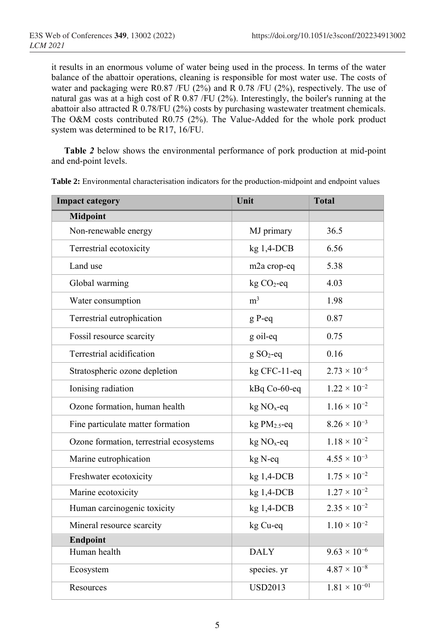it results in an enormous volume of water being used in the process. In terms of the water balance of the abattoir operations, cleaning is responsible for most water use. The costs of water and packaging were R0.87 /FU (2%) and R 0.78 /FU (2%), respectively. The use of natural gas was at a high cost of R 0.87 /FU (2%). Interestingly, the boiler's running at the abattoir also attracted R 0.78/FU (2%) costs by purchasing wastewater treatment chemicals. The O&M costs contributed R0.75 (2%). The Value-Added for the whole pork product system was determined to be R17, 16/FU.

**[Table](#page-4-0)** *2* below shows the environmental performance of pork production at mid-point and end-point levels.

<span id="page-4-0"></span>**Table 2:** Environmental characterisation indicators for the production-midpoint and endpoint values

| <b>Impact category</b>                  | Unit                     | <b>Total</b>                      |
|-----------------------------------------|--------------------------|-----------------------------------|
| <b>Midpoint</b>                         |                          |                                   |
| Non-renewable energy                    | MJ primary               | 36.5                              |
| Terrestrial ecotoxicity                 | $kg$ 1,4-DCB             | 6.56                              |
| Land use                                | m <sub>2</sub> a crop-eq | 5.38                              |
| Global warming                          | $kg CO2 - eq$            | 4.03                              |
| Water consumption                       | m <sup>3</sup>           | 1.98                              |
| Terrestrial eutrophication              | $g$ P-eq                 | 0.87                              |
| Fossil resource scarcity                | g oil-eq                 | 0.75                              |
| Terrestrial acidification               | $g SO2$ -eq              | 0.16                              |
| Stratospheric ozone depletion           | kg CFC-11-eq             | $2.73 \times 10^{-5}$             |
| Ionising radiation                      | kBq Co-60-eq             | $1.22 \times 10^{-2}$             |
| Ozone formation, human health           | $kg NOx$ -eq             | $1.16 \times 10^{-2}$             |
| Fine particulate matter formation       | $kgPM2.5 - eq$           | $8.26 \times 10^{-3}$             |
| Ozone formation, terrestrial ecosystems | $kg NOx$ -eq             | $1.18 \times 10^{-2}$             |
| Marine eutrophication                   | kg N-eq                  | $4.55 \times 10^{-3}$             |
| Freshwater ecotoxicity                  | $kg$ 1,4-DCB             | $1.75 \times 10^{-2}$             |
| Marine ecotoxicity                      | $kg$ 1,4-DCB             | $1.27 \times 10^{-2}$             |
| Human carcinogenic toxicity             | $kg$ 1,4-DCB             | $2.35 \times 10^{-2}$             |
| Mineral resource scarcity               | kg Cu-eq                 | $1.10 \times 10^{-2}$             |
| Endpoint                                |                          |                                   |
| Human health                            | <b>DALY</b>              | $9.63 \times 10^{-6}$             |
| Ecosystem                               | species. yr              | $4.87 \times 10^{-8}$             |
| Resources                               | <b>USD2013</b>           | $1.\overline{81 \times 10^{-01}}$ |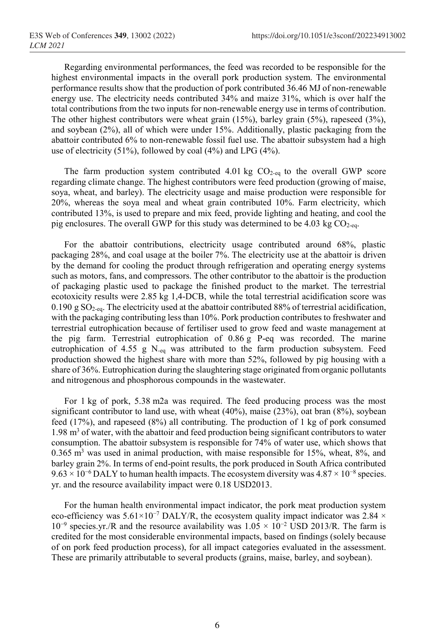Regarding environmental performances, the feed was recorded to be responsible for the highest environmental impacts in the overall pork production system. The environmental performance results show that the production of pork contributed 36.46 MJ of non-renewable energy use. The electricity needs contributed 34% and maize 31%, which is over half the total contributions from the two inputs for non-renewable energy use in terms of contribution. The other highest contributors were wheat grain (15%), barley grain (5%), rapeseed (3%), and soybean (2%), all of which were under 15%. Additionally, plastic packaging from the abattoir contributed 6% to non-renewable fossil fuel use. The abattoir subsystem had a high use of electricity (51%), followed by coal (4%) and LPG (4%).

The farm production system contributed 4.01 kg  $CO<sub>2-eq</sub>$  to the overall GWP score regarding climate change. The highest contributors were feed production (growing of maise, soya, wheat, and barley). The electricity usage and maise production were responsible for 20%, whereas the soya meal and wheat grain contributed 10%. Farm electricity, which contributed 13%, is used to prepare and mix feed, provide lighting and heating, and cool the pig enclosures. The overall GWP for this study was determined to be 4.03 kg  $CO<sub>2-eq</sub>$ .

For the abattoir contributions, electricity usage contributed around 68%, plastic packaging 28%, and coal usage at the boiler 7%. The electricity use at the abattoir is driven by the demand for cooling the product through refrigeration and operating energy systems such as motors, fans, and compressors. The other contributor to the abattoir is the production of packaging plastic used to package the finished product to the market. The terrestrial ecotoxicity results were 2.85 kg 1,4-DCB, while the total terrestrial acidification score was  $0.190$  g SO<sub>2-eq</sub>. The electricity used at the abattoir contributed 88% of terrestrial acidification, with the packaging contributing less than 10%. Pork production contributes to freshwater and terrestrial eutrophication because of fertiliser used to grow feed and waste management at the pig farm. Terrestrial eutrophication of 0.86 g P-eq was recorded. The marine eutrophication of 4.55 g N-eq was attributed to the farm production subsystem. Feed production showed the highest share with more than 52%, followed by pig housing with a share of 36%. Eutrophication during the slaughtering stage originated from organic pollutants and nitrogenous and phosphorous compounds in the wastewater.

For 1 kg of pork, 5.38 m2a was required. The feed producing process was the most significant contributor to land use, with wheat (40%), maise (23%), oat bran (8%), soybean feed (17%), and rapeseed (8%) all contributing. The production of 1 kg of pork consumed 1.98 m<sup>3</sup> of water, with the abattoir and feed production being significant contributors to water consumption. The abattoir subsystem is responsible for 74% of water use, which shows that  $0.365$  m<sup>3</sup> was used in animal production, with maise responsible for 15%, wheat, 8%, and barley grain 2%. In terms of end-point results, the pork produced in South Africa contributed  $9.63 \times 10^{-6}$  DALY to human health impacts. The ecosystem diversity was  $4.87 \times 10^{-8}$  species. yr. and the resource availability impact were 0.18 USD2013.

For the human health environmental impact indicator, the pork meat production system eco-efficiency was  $5.61\times10^{-7}$  DALY/R, the ecosystem quality impact indicator was 2.84  $\times$  $10^{-9}$  species.yr./R and the resource availability was  $1.05 \times 10^{-2}$  USD 2013/R. The farm is credited for the most considerable environmental impacts, based on findings (solely because of on pork feed production process), for all impact categories evaluated in the assessment. These are primarily attributable to several products (grains, maise, barley, and soybean).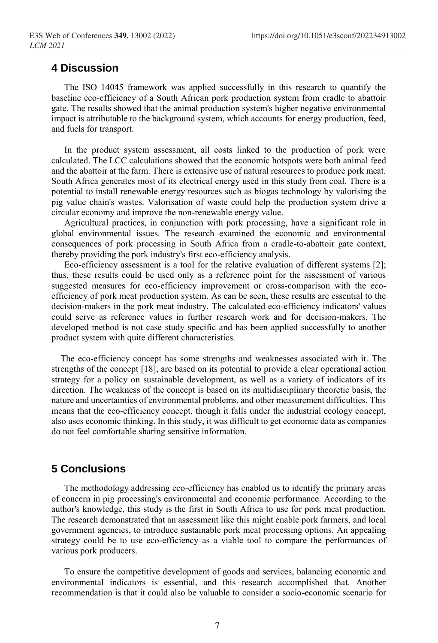#### **4 Discussion**

The ISO 14045 framework was applied successfully in this research to quantify the baseline eco-efficiency of a South African pork production system from cradle to abattoir gate. The results showed that the animal production system's higher negative environmental impact is attributable to the background system, which accounts for energy production, feed, and fuels for transport.

In the product system assessment, all costs linked to the production of pork were calculated. The LCC calculations showed that the economic hotspots were both animal feed and the abattoir at the farm. There is extensive use of natural resources to produce pork meat. South Africa generates most of its electrical energy used in this study from coal. There is a potential to install renewable energy resources such as biogas technology by valorising the pig value chain's wastes. Valorisation of waste could help the production system drive a circular economy and improve the non-renewable energy value.

Agricultural practices, in conjunction with pork processing, have a significant role in global environmental issues. The research examined the economic and environmental consequences of pork processing in South Africa from a cradle-to-abattoir gate context, thereby providing the pork industry's first eco-efficiency analysis.

Eco-efficiency assessment is a tool for the relative evaluation of different systems [2]; thus, these results could be used only as a reference point for the assessment of various suggested measures for eco-efficiency improvement or cross-comparison with the ecoefficiency of pork meat production system. As can be seen, these results are essential to the decision-makers in the pork meat industry. The calculated eco-efficiency indicators' values could serve as reference values in further research work and for decision-makers. The developed method is not case study specific and has been applied successfully to another product system with quite different characteristics.

 The eco-efficiency concept has some strengths and weaknesses associated with it. The strengths of the concept [18], are based on its potential to provide a clear operational action strategy for a policy on sustainable development, as well as a variety of indicators of its direction. The weakness of the concept is based on its multidisciplinary theoretic basis, the nature and uncertainties of environmental problems, and other measurement difficulties. This means that the eco-efficiency concept, though it falls under the industrial ecology concept, also uses economic thinking. In this study, it was difficult to get economic data as companies do not feel comfortable sharing sensitive information.

## **5 Conclusions**

The methodology addressing eco-efficiency has enabled us to identify the primary areas of concern in pig processing's environmental and economic performance. According to the author's knowledge, this study is the first in South Africa to use for pork meat production. The research demonstrated that an assessment like this might enable pork farmers, and local government agencies, to introduce sustainable pork meat processing options. An appealing strategy could be to use eco-efficiency as a viable tool to compare the performances of various pork producers.

To ensure the competitive development of goods and services, balancing economic and environmental indicators is essential, and this research accomplished that. Another recommendation is that it could also be valuable to consider a socio-economic scenario for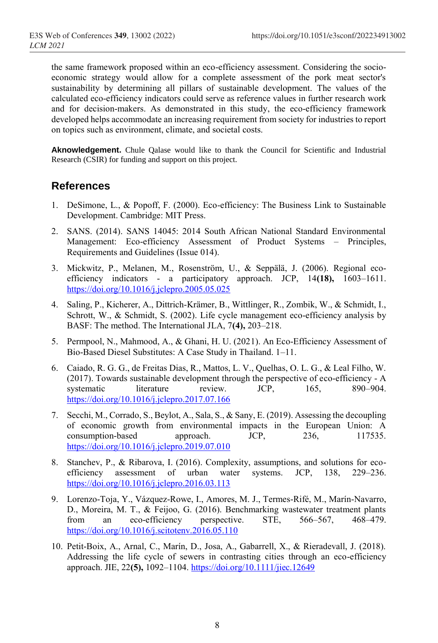the same framework proposed within an eco-efficiency assessment. Considering the socioeconomic strategy would allow for a complete assessment of the pork meat sector's sustainability by determining all pillars of sustainable development. The values of the calculated eco-efficiency indicators could serve as reference values in further research work and for decision-makers. As demonstrated in this study, the eco-efficiency framework developed helps accommodate an increasing requirement from society for industries to report on topics such as environment, climate, and societal costs.

**Aknowledgement.** Chule Qalase would like to thank the Council for Scientific and Industrial Research (CSIR) for funding and support on this project.

### **References**

- 1. DeSimone, L., & Popoff, F. (2000). Eco-efficiency: The Business Link to Sustainable Development. Cambridge: MIT Press.
- 2. SANS. (2014). SANS 14045: 2014 South African National Standard Environmental Management: Eco-efficiency Assessment of Product Systems – Principles, Requirements and Guidelines (Issue 014).
- 3. Mickwitz, P., Melanen, M., Rosenström, U., & Seppälä, J. (2006). Regional ecoefficiency indicators - a participatory approach. JCP, 14**(18),** 1603–1611. <https://doi.org/10.1016/j.jclepro.2005.05.025>
- 4. Saling, P., Kicherer, A., Dittrich-Krämer, B., Wittlinger, R., Zombik, W., & Schmidt, I., Schrott, W., & Schmidt, S. (2002). Life cycle management eco-efficiency analysis by BASF: The method. The International JLA, 7**(4),** 203–218.
- 5. Permpool, N., Mahmood, A., & Ghani, H. U. (2021). An Eco-Efficiency Assessment of Bio-Based Diesel Substitutes: A Case Study in Thailand. 1–11.
- 6. Caiado, R. G. G., de Freitas Dias, R., Mattos, L. V., Quelhas, O. L. G., & Leal Filho, W. (2017). Towards sustainable development through the perspective of eco-efficiency - A systematic literature review. JCP, 165, 890–904. <https://doi.org/10.1016/j.jclepro.2017.07.166>
- 7. Secchi, M., Corrado, S., Beylot, A., Sala, S., & Sany, E. (2019). Assessing the decoupling of economic growth from environmental impacts in the European Union: A consumption-based approach. JCP, 236, 117535. <https://doi.org/10.1016/j.jclepro.2019.07.010>
- 8. Stanchev, P., & Ribarova, I. (2016). Complexity, assumptions, and solutions for ecoefficiency assessment of urban water systems. JCP, 138, 229–236. <https://doi.org/10.1016/j.jclepro.2016.03.113>
- 9. Lorenzo-Toja, Y., Vázquez-Rowe, I., Amores, M. J., Termes-Rifé, M., Marín-Navarro, D., Moreira, M. T., & Feijoo, G. (2016). Benchmarking wastewater treatment plants from an eco-efficiency perspective. STE, 566–567, 468–479. <https://doi.org/10.1016/j.scitotenv.2016.05.110>
- 10. Petit-Boix, A., Arnal, C., Marín, D., Josa, A., Gabarrell, X., & Rieradevall, J. (2018). Addressing the life cycle of sewers in contrasting cities through an eco-efficiency approach. JIE, 22**(5),** 1092–1104.<https://doi.org/10.1111/jiec.12649>